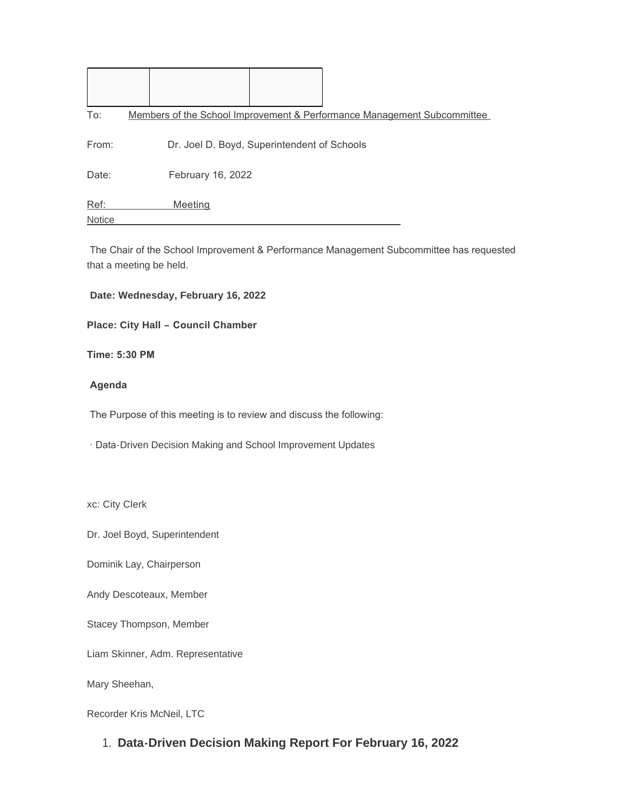| To:    | Members of the School Improvement & Performance Management Subcommittee |  |  |  |
|--------|-------------------------------------------------------------------------|--|--|--|
| From:  | Dr. Joel D. Boyd, Superintendent of Schools                             |  |  |  |
| Date:  | February 16, 2022                                                       |  |  |  |
| Ref:   | Meeting                                                                 |  |  |  |
| Notice |                                                                         |  |  |  |

 The Chair of the School Improvement & Performance Management Subcommittee has requested that a meeting be held.

#### **Date: Wednesday, February 16, 2022**

**Place: City Hall – Council Chamber** 

**Time: 5:30 PM** 

#### **Agenda**

The Purpose of this meeting is to review and discuss the following:

· Data-Driven Decision Making and School Improvement Updates

xc: City Clerk

Dr. Joel Boyd, Superintendent

Dominik Lay, Chairperson

Andy Descoteaux, Member

Stacey Thompson, Member

Liam Skinner, Adm. Representative

Mary Sheehan,

Recorder Kris McNeil, LTC

**Data-Driven Decision Making Report For February 16, 2022** 1.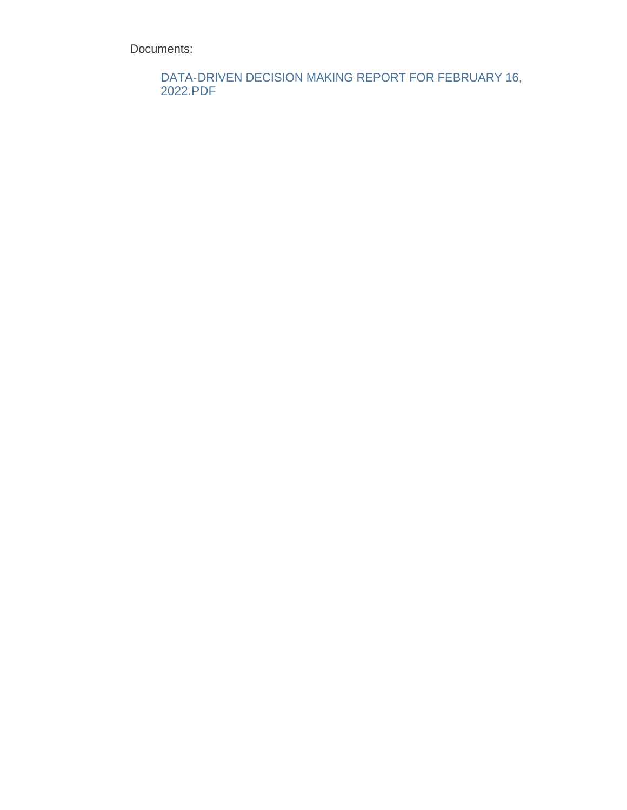Documents:

DATA-DRIVEN DECISION MAKING REPORT FOR FEBRUARY 16, 2022.PDF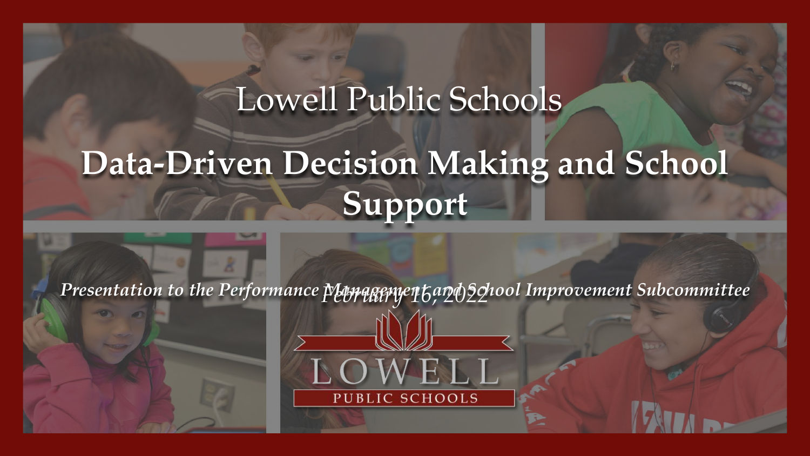# Lowell Public Schools **Data-Driven Decision Making and School Support**

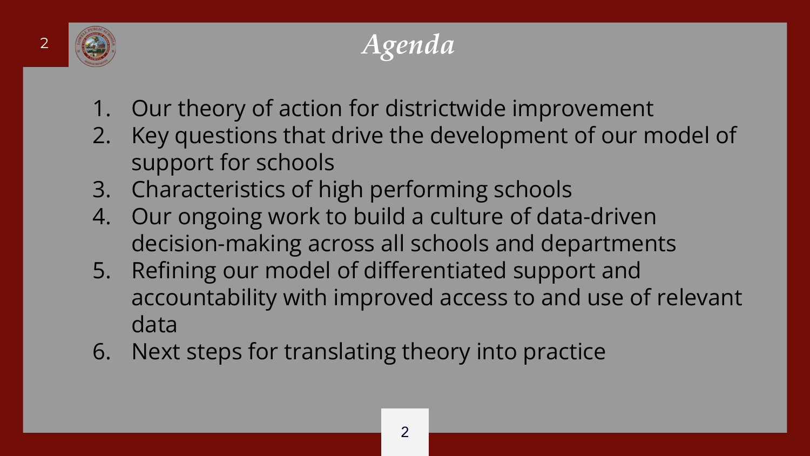

# <sup>2</sup> *Agenda*

- 1. Our theory of action for districtwide improvement
- 2. Key questions that drive the development of our model of support for schools
- 3. Characteristics of high performing schools
- 4. Our ongoing work to build a culture of data-driven decision-making across all schools and departments
- 5. Refining our model of differentiated support and accountability with improved access to and use of relevant data
- 6. Next steps for translating theory into practice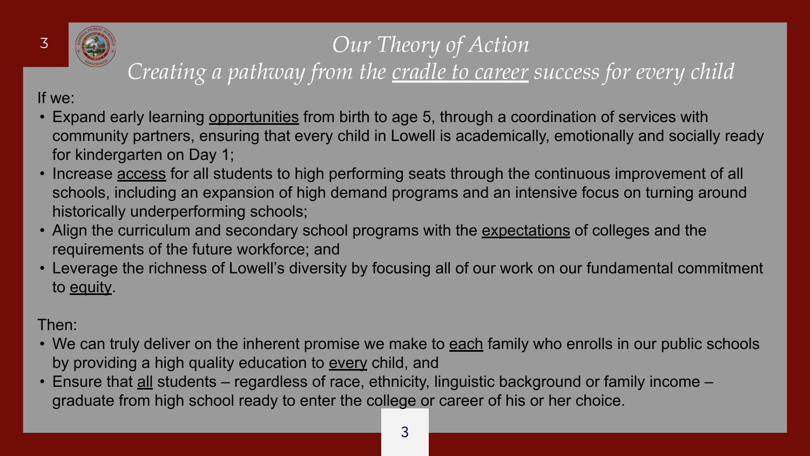

### <sup>3</sup> *Our Theory of Action Creating a pathway from the cradle to career success for every child*

If we:

- Expand early learning opportunities from birth to age 5, through a coordination of services with community partners, ensuring that every child in Lowell is academically, emotionally and socially ready for kindergarten on Day 1;
- Increase **access** for all students to high performing seats through the continuous improvement of all schools, including an expansion of high demand programs and an intensive focus on turning around historically underperforming schools;
- Align the curriculum and secondary school programs with the expectations of colleges and the requirements of the future workforce; and
- Leverage the richness of Lowell's diversity by focusing all of our work on our fundamental commitment to equity.

#### Then:

- We can truly deliver on the inherent promise we make to each family who enrolls in our public schools by providing a high quality education to every child, and
- Ensure that all students regardless of race, ethnicity, linguistic background or family income graduate from high school ready to enter the college or career of his or her choice.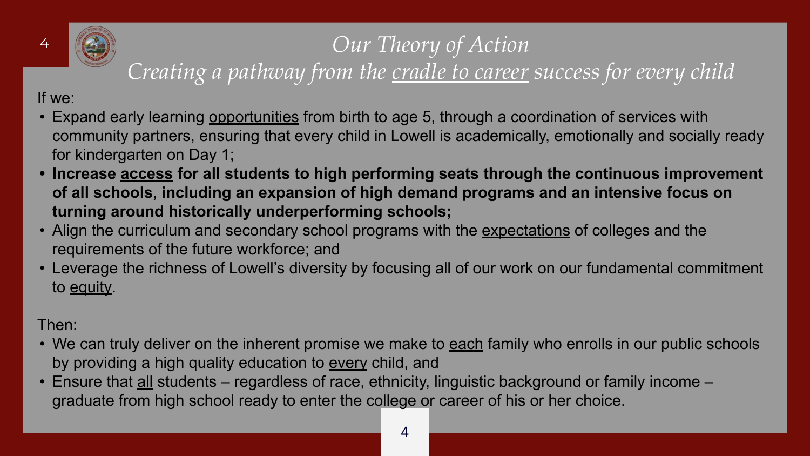

# <sup>4</sup> *Our Theory of Action*

## *Creating a pathway from the cradle to career success for every child*

If we:

- Expand early learning opportunities from birth to age 5, through a coordination of services with community partners, ensuring that every child in Lowell is academically, emotionally and socially ready for kindergarten on Day 1;
- **• Increase access for all students to high performing seats through the continuous improvement of all schools, including an expansion of high demand programs and an intensive focus on turning around historically underperforming schools;**
- Align the curriculum and secondary school programs with the expectations of colleges and the requirements of the future workforce; and
- Leverage the richness of Lowell's diversity by focusing all of our work on our fundamental commitment to equity.

#### Then:

- We can truly deliver on the inherent promise we make to each family who enrolls in our public schools by providing a high quality education to every child, and
- Ensure that all students regardless of race, ethnicity, linguistic background or family income graduate from high school ready to enter the college or career of his or her choice.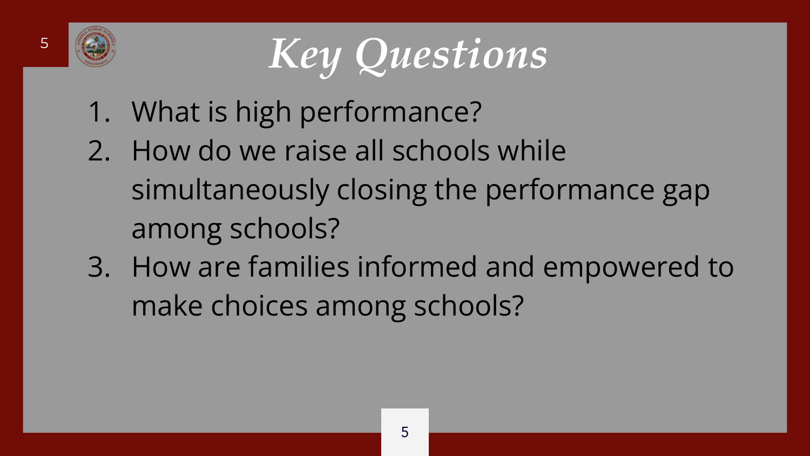

<sup>5</sup> *Key Questions*

- 1. What is high performance?
- 2. How do we raise all schools while simultaneously closing the performance gap among schools?
- 3. How are families informed and empowered to make choices among schools?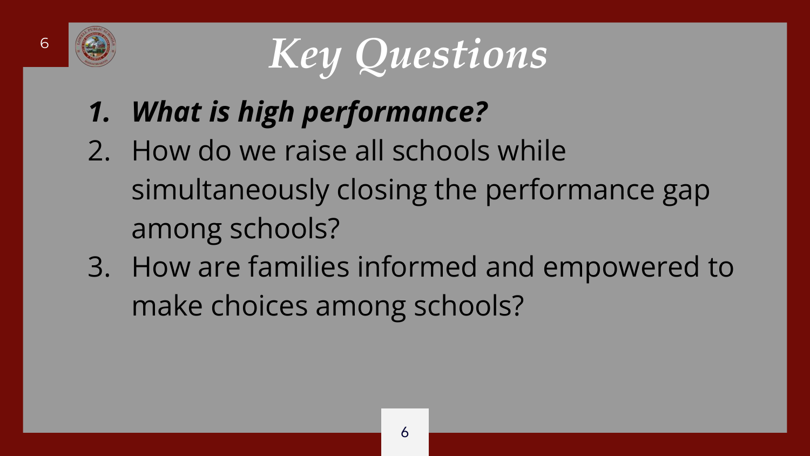

<sup>6</sup> *Key Questions*

- *1. What is high performance?*
- 2. How do we raise all schools while simultaneously closing the performance gap among schools?
- 3. How are families informed and empowered to make choices among schools?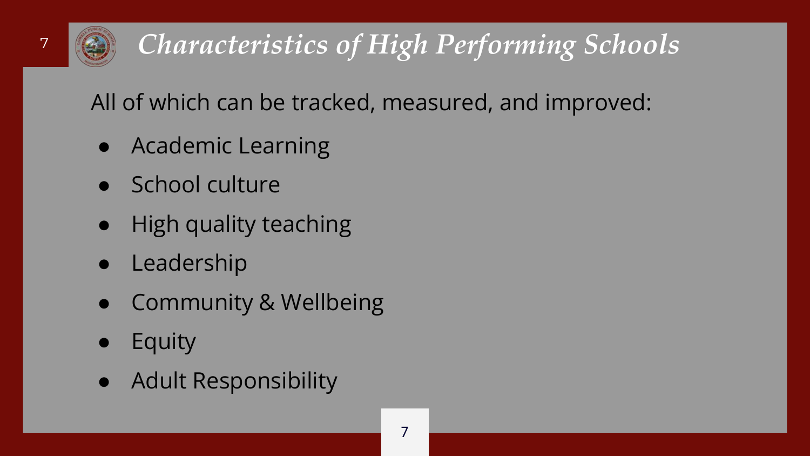

# <sup>7</sup> *Characteristics of High Performing Schools*

All of which can be tracked, measured, and improved:

- Academic Learning
- School culture
- High quality teaching
- Leadership
- **Community & Wellbeing**
- **Equity**
- Adult Responsibility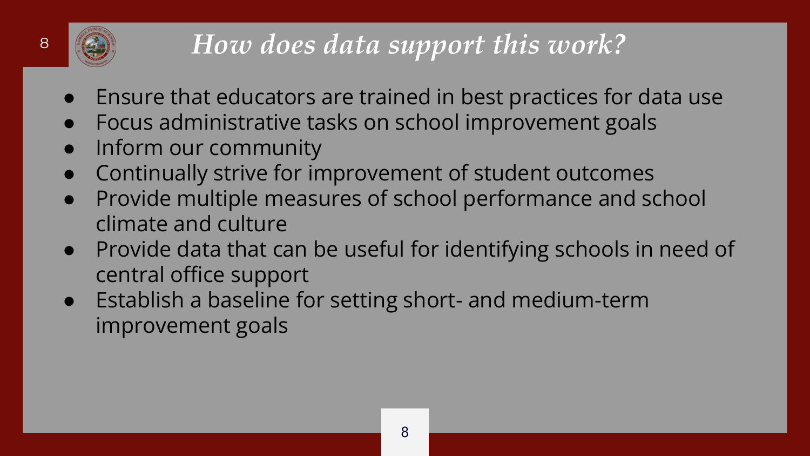# <sup>8</sup> *How does data support this work?*

- Ensure that educators are trained in best practices for data use
- Focus administrative tasks on school improvement goals
- Inform our community
- Continually strive for improvement of student outcomes
- Provide multiple measures of school performance and school climate and culture
- Provide data that can be useful for identifying schools in need of central office support
- Establish a baseline for setting short- and medium-term improvement goals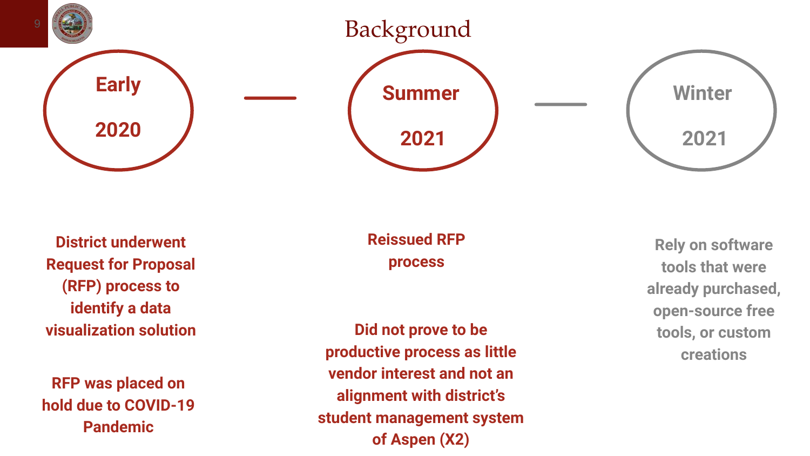

**District underwent Request for Proposal (RFP) process to identify a data visualization solution**

**RFP was placed on hold due to COVID-19 Pandemic**

**Reissued RFP process**

**Did not prove to be productive process as little vendor interest and not an alignment with district's student management system of Aspen (X2)**

**Rely on software tools that were already purchased, open-source free tools, or custom creations**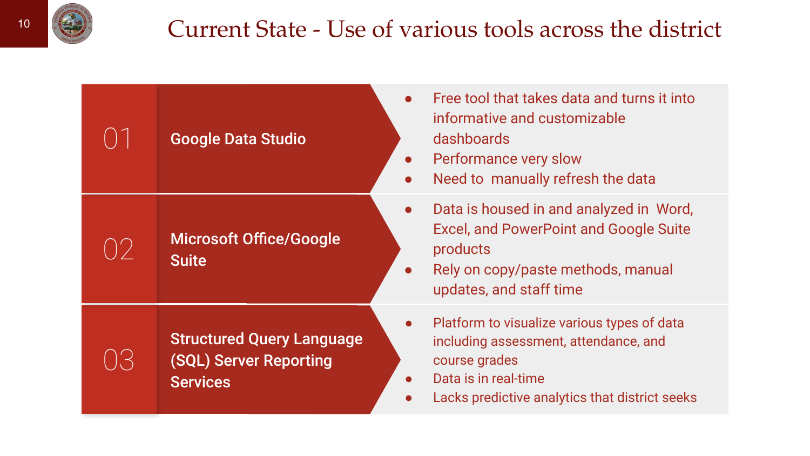## $\frac{10}{10}$  Current State - Use of various tools across the district

| <b>Google Data Studio</b>                                                     | Free tool that takes data and turns it into<br>informative and customizable<br>dashboards<br>Performance very slow<br>$\bullet$<br>Need to manually refresh the data<br>$\bullet$            |
|-------------------------------------------------------------------------------|----------------------------------------------------------------------------------------------------------------------------------------------------------------------------------------------|
| <b>Microsoft Office/Google</b><br><b>Suite</b>                                | Data is housed in and analyzed in Word,<br><b>Excel, and PowerPoint and Google Suite</b><br>products<br>Rely on copy/paste methods, manual<br>$\bullet$<br>updates, and staff time           |
| <b>Structured Query Language</b><br>(SQL) Server Reporting<br><b>Services</b> | Platform to visualize various types of data<br>$\bullet$<br>including assessment, attendance, and<br>course grades<br>Data is in real-time<br>Lacks predictive analytics that district seeks |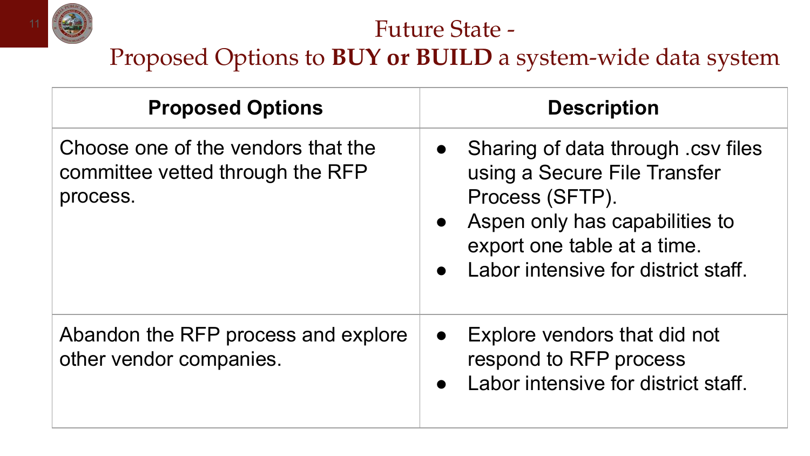

#### Future State -

Proposed Options to **BUY or BUILD** a system-wide data system

| <b>Proposed Options</b>                                                            | <b>Description</b>                                                                                                                                                                                                                   |
|------------------------------------------------------------------------------------|--------------------------------------------------------------------------------------------------------------------------------------------------------------------------------------------------------------------------------------|
| Choose one of the vendors that the<br>committee vetted through the RFP<br>process. | Sharing of data through .csv files<br>$\bullet$<br>using a Secure File Transfer<br>Process (SFTP).<br>Aspen only has capabilities to<br>$\bullet$<br>export one table at a time.<br>Labor intensive for district staff.<br>$\bullet$ |
| Abandon the RFP process and explore<br>other vendor companies.                     | Explore vendors that did not<br>$\bullet$<br>respond to RFP process<br>Labor intensive for district staff.<br>$\bullet$                                                                                                              |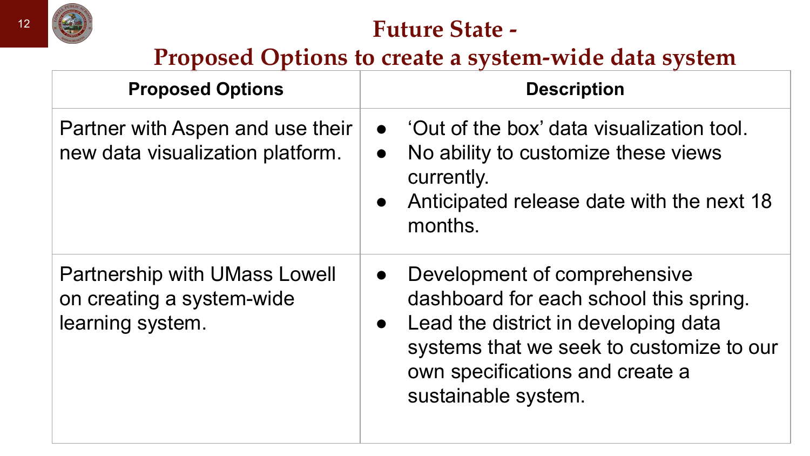

## **Future State -**

**Proposed Options to create a system-wide data system**

| <b>Proposed Options</b>                                                               | <b>Description</b>                                                                                                                                                                                                                             |
|---------------------------------------------------------------------------------------|------------------------------------------------------------------------------------------------------------------------------------------------------------------------------------------------------------------------------------------------|
| Partner with Aspen and use their<br>new data visualization platform.                  | $\bullet$ 'Out of the box' data visualization tool.<br>No ability to customize these views<br>$\bullet$<br>currently.<br>Anticipated release date with the next 18<br>$\bullet$<br>months.                                                     |
| <b>Partnership with UMass Lowell</b><br>on creating a system-wide<br>learning system. | Development of comprehensive<br>$\bullet$<br>dashboard for each school this spring.<br>Lead the district in developing data<br>$\bullet$<br>systems that we seek to customize to our<br>own specifications and create a<br>sustainable system. |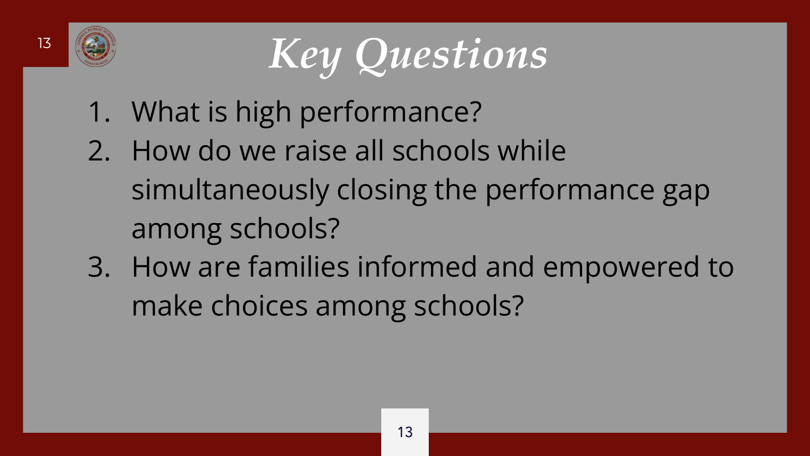

<sup>13</sup> *Key Questions* 

- 1. What is high performance?
- 2. How do we raise all schools while simultaneously closing the performance gap among schools?
- 3. How are families informed and empowered to make choices among schools?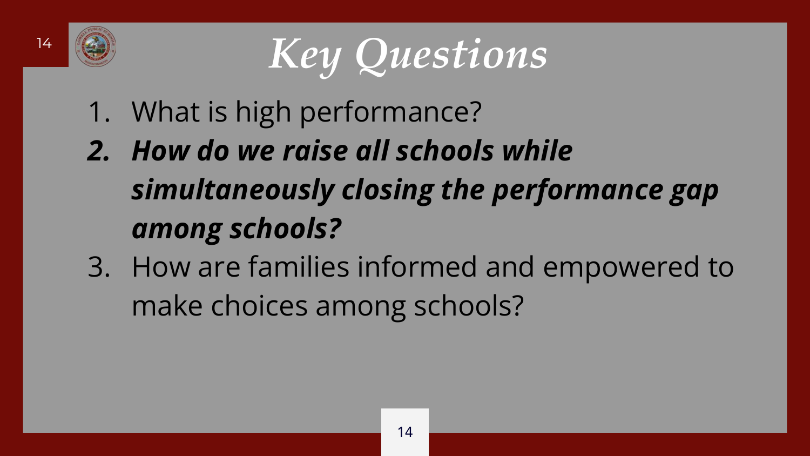

<sup>14</sup> *Key Questions*

- 1. What is high performance?
- *2. How do we raise all schools while simultaneously closing the performance gap among schools?*
- 3. How are families informed and empowered to make choices among schools?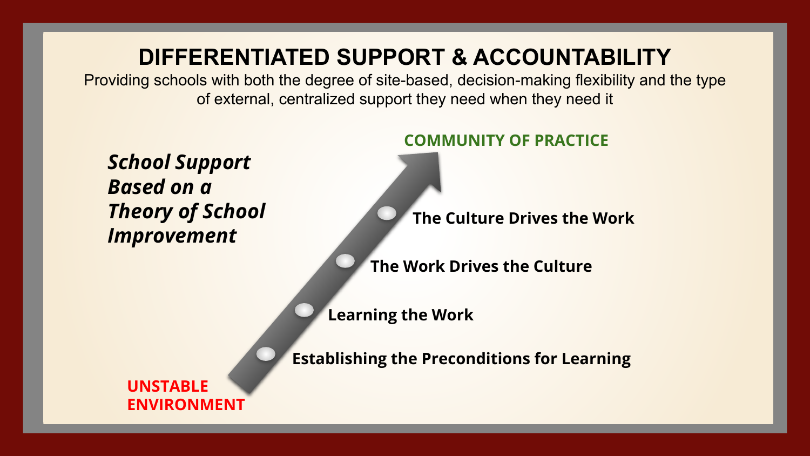## **DIFFERENTIATED SUPPORT & ACCOUNTABILITY**

Providing schools with both the degree of site-based, decision-making flexibility and the type of external, centralized support they need when they need it

*School Support Based on a Theory of School Improvement*

#### **COMMUNITY OF PRACTICE**

**The Culture Drives the Work**

**The Work Drives the Culture**

**Learning the Work**

**Establishing the Preconditions for Learning**

**UNSTABLE ENVIRONMENT**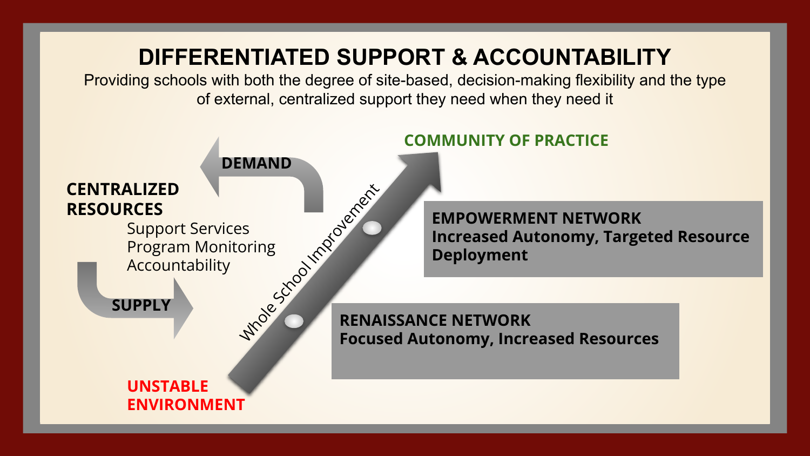## **DIFFERENTIATED SUPPORT & ACCOUNTABILITY**

Providing schools with both the degree of site-based, decision-making flexibility and the type of external, centralized support they need when they need it

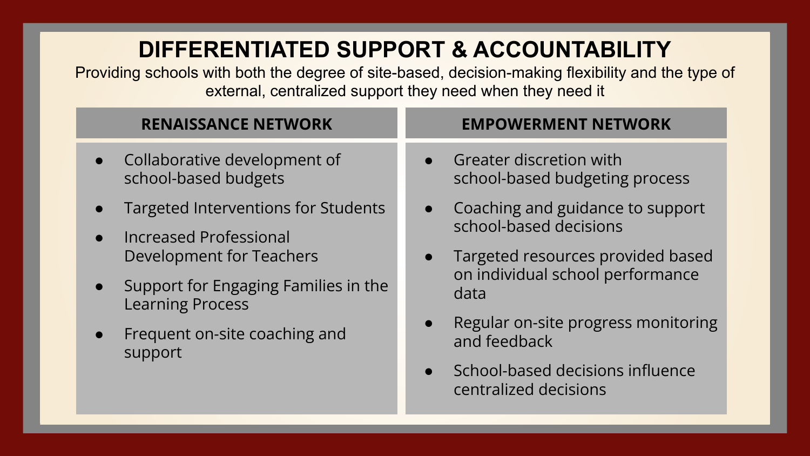## **DIFFERENTIATED SUPPORT & ACCOUNTABILITY**

Providing schools with both the degree of site-based, decision-making flexibility and the type of external, centralized support they need when they need it

- Collaborative development of school-based budgets
- Targeted Interventions for Students
- Increased Professional Development for Teachers
- Support for Engaging Families in the Learning Process
- Frequent on-site coaching and support

#### **RENAISSANCE NETWORK EMPOWERMENT NETWORK**

- Greater discretion with school-based budgeting process
- Coaching and guidance to support school-based decisions
- Targeted resources provided based on individual school performance data
- Regular on-site progress monitoring and feedback
- School-based decisions influence centralized decisions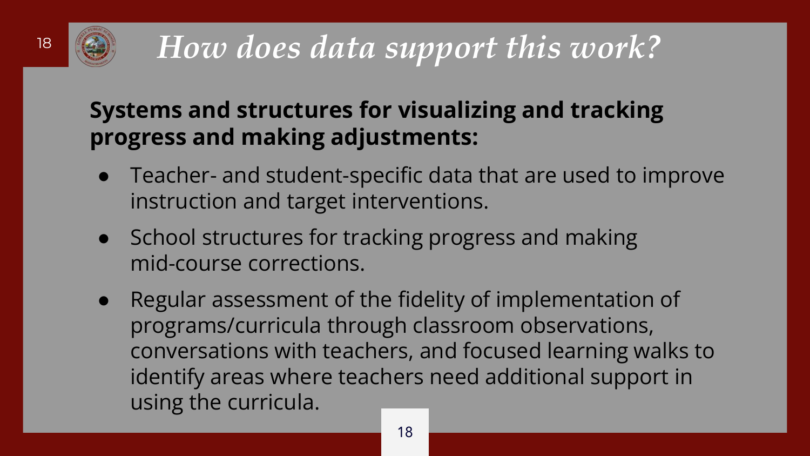

# <sup>18</sup> *How does data support this work?*

## **Systems and structures for visualizing and tracking progress and making adjustments:**

- Teacher- and student-specific data that are used to improve instruction and target interventions.
- School structures for tracking progress and making mid-course corrections.
- Regular assessment of the fidelity of implementation of programs/curricula through classroom observations, conversations with teachers, and focused learning walks to identify areas where teachers need additional support in using the curricula.